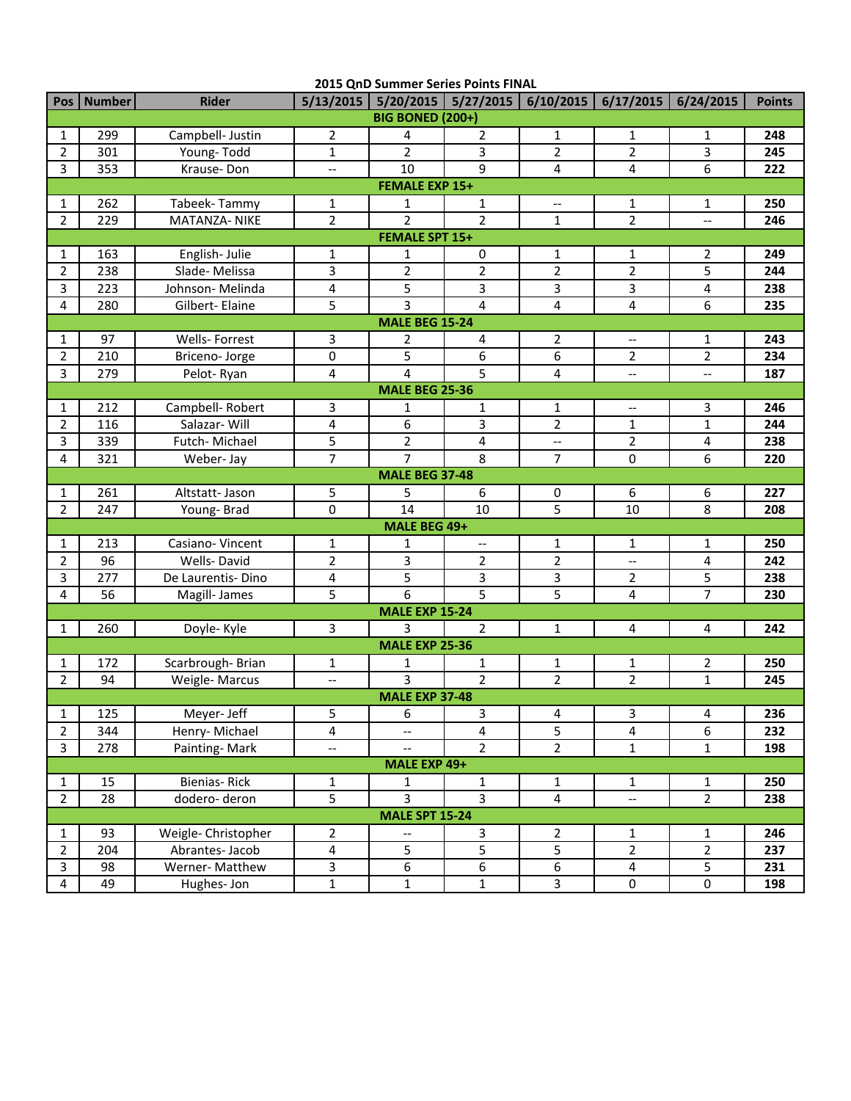| 2015 QnD Summer Series Points FINAL |              |                     |                          |                          |                          |                                                                       |                          |                         |               |  |  |
|-------------------------------------|--------------|---------------------|--------------------------|--------------------------|--------------------------|-----------------------------------------------------------------------|--------------------------|-------------------------|---------------|--|--|
|                                     | Pos   Number | <b>Rider</b>        |                          |                          |                          | 5/13/2015   5/20/2015   5/27/2015   6/10/2015   6/17/2015   6/24/2015 |                          |                         | <b>Points</b> |  |  |
| <b>BIG BONED (200+)</b>             |              |                     |                          |                          |                          |                                                                       |                          |                         |               |  |  |
| 1                                   | 299          | Campbell- Justin    | $\overline{2}$           | 4                        | 2                        | $\mathbf{1}$                                                          | 1                        | 1                       | 248           |  |  |
| $\overline{2}$                      | 301          | Young-Todd          | $\mathbf{1}$             | $\overline{2}$           | $\overline{3}$           | $\overline{2}$                                                        | $\overline{2}$           | $\overline{3}$          | 245           |  |  |
| 3                                   | 353          | Krause-Don          | $\overline{\phantom{a}}$ | 10                       | 9                        | 4                                                                     | 4                        | 6                       | 222           |  |  |
| <b>FEMALE EXP 15+</b>               |              |                     |                          |                          |                          |                                                                       |                          |                         |               |  |  |
| 1                                   | 262          | Tabeek-Tammy        | $\mathbf{1}$             | $\mathbf{1}$             | 1                        | $\hspace{0.05cm} -\hspace{0.05cm} -\hspace{0.05cm}$                   | 1                        | 1                       | 250           |  |  |
| $\overline{2}$                      | 229          | MATANZA- NIKE       | $\overline{2}$           | $\overline{2}$           | $\overline{2}$           | $\mathbf{1}$                                                          | $\overline{2}$           | $\overline{a}$          | 246           |  |  |
| <b>FEMALE SPT 15+</b>               |              |                     |                          |                          |                          |                                                                       |                          |                         |               |  |  |
| 1                                   | 163          | English-Julie       | $\mathbf{1}$             | $\mathbf{1}$             | 0                        | $\mathbf{1}$                                                          | $\mathbf{1}$             | $\overline{2}$          | 249           |  |  |
| 2                                   | 238          | Slade-Melissa       | 3                        | $\overline{2}$           | $\overline{2}$           | $\overline{2}$                                                        | $\overline{2}$           | 5                       | 244           |  |  |
| 3                                   | 223          | Johnson-Melinda     | 4                        | 5                        | 3                        | 3                                                                     | 3                        | 4                       | 238           |  |  |
| 4                                   | 280          | Gilbert-Elaine      | 5                        | 3                        | 4                        | 4                                                                     | 4                        | 6                       | 235           |  |  |
| <b>MALE BEG 15-24</b>               |              |                     |                          |                          |                          |                                                                       |                          |                         |               |  |  |
| 1                                   | 97           | Wells-Forrest       | 3                        | 2                        | 4                        | 2                                                                     | $-$                      | 1                       | 243           |  |  |
| $\overline{2}$                      | 210          | Briceno-Jorge       | 0                        | 5                        | 6                        | 6                                                                     | $\overline{2}$           | $\overline{2}$          | 234           |  |  |
| 3                                   | 279          | Pelot-Ryan          | 4                        | 4                        | 5                        | 4                                                                     | $\overline{\phantom{a}}$ | $\overline{a}$          | 187           |  |  |
|                                     |              |                     |                          | <b>MALE BEG 25-36</b>    |                          |                                                                       |                          |                         |               |  |  |
| 1                                   | 212          | Campbell-Robert     | 3                        | $\mathbf{1}$             | $\mathbf{1}$             | $\mathbf{1}$                                                          | $-$                      | 3                       | 246           |  |  |
| 2                                   | 116          | Salazar-Will        | 4                        | 6                        | 3                        | $\overline{2}$                                                        | $\mathbf{1}$             | $\mathbf{1}$            | 244           |  |  |
| 3                                   | 339          | Futch-Michael       | 5                        | $\overline{2}$           | 4                        | $\overline{\phantom{m}}$                                              | $\overline{2}$           | $\overline{4}$          | 238           |  |  |
| 4                                   | 321          | Weber-Jay           | $\overline{7}$           | $\overline{7}$           | $\overline{8}$           | $\overline{7}$                                                        | 0                        | $\overline{6}$          | 220           |  |  |
|                                     |              |                     |                          | <b>MALE BEG 37-48</b>    |                          |                                                                       |                          |                         |               |  |  |
| 1                                   | 261          | Altstatt- Jason     | 5                        | 5                        | 6                        | 0                                                                     | 6                        | 6                       | 227           |  |  |
| $\overline{2}$                      | 247          | Young-Brad          | $\overline{0}$           | 14                       | 10                       | 5                                                                     | 10                       | 8                       | 208           |  |  |
|                                     |              |                     |                          | MALE BEG 49+             |                          |                                                                       |                          |                         |               |  |  |
| 1                                   | 213          | Casiano-Vincent     | $\mathbf 1$              | 1                        | $\overline{\phantom{a}}$ | $\mathbf{1}$                                                          | 1                        | 1                       | 250           |  |  |
| $\overline{2}$                      | 96           | Wells-David         | $\overline{2}$           | $\overline{3}$           | $\overline{2}$           | $\overline{2}$                                                        | --                       | $\overline{4}$          | 242           |  |  |
| 3                                   | 277          | De Laurentis-Dino   | 4                        | $\overline{5}$           | $\overline{3}$           | $\overline{3}$                                                        | $\overline{2}$           | 5                       | 238           |  |  |
| 4                                   | 56           | Magill- James       | 5                        | 6                        | 5                        | 5                                                                     | 4                        | $\overline{7}$          | 230           |  |  |
|                                     |              |                     |                          | <b>MALE EXP 15-24</b>    |                          |                                                                       |                          |                         |               |  |  |
| $\mathbf{1}$                        | 260          | Doyle- Kyle         | 3                        | 3                        | $\overline{2}$           | $\mathbf{1}$                                                          | 4                        | 4                       | 242           |  |  |
|                                     |              |                     |                          | <b>MALE EXP 25-36</b>    |                          |                                                                       |                          |                         |               |  |  |
| 1                                   | 172          | Scarbrough-Brian    | 1                        | $\mathbf{1}$             | $\mathbf{1}$             | $\mathbf{1}$                                                          | $\mathbf{1}$             | $\overline{2}$          | 250           |  |  |
| $\overline{2}$                      | 94           | Weigle-Marcus       | $\overline{\phantom{a}}$ | 3                        | $\overline{2}$           | $\overline{2}$                                                        | $\overline{2}$           | $\mathbf{1}$            | 245           |  |  |
|                                     |              |                     |                          | <b>MALE EXP 37-48</b>    |                          |                                                                       |                          |                         |               |  |  |
| 1                                   | 125          | Meyer- Jeff         | 5                        | 6                        | 3                        | 4                                                                     | $\overline{3}$           | 4                       | 236           |  |  |
| $\overline{2}$                      | 344          | Henry-Michael       | 4                        | $\overline{\phantom{a}}$ | 4                        | 5                                                                     | 4                        | 6                       | 232           |  |  |
| $\mathbf{3}$                        | 278          | Painting-Mark       | $\overline{\phantom{a}}$ | $-$                      | $\overline{2}$           | $\overline{2}$                                                        | $\mathbf{1}$             | $\mathbf{1}$            | 198           |  |  |
| MALE EXP 49+                        |              |                     |                          |                          |                          |                                                                       |                          |                         |               |  |  |
| $\mathbf{1}$                        | 15           | Bienias-Rick        | $\mathbf{1}$             | $\mathbf{1}$             | $\mathbf{1}$             | $\mathbf{1}$                                                          | $\mathbf{1}$             | $\mathbf{1}$            | 250           |  |  |
| $\overline{2}$                      | 28           | dodero-deron        | $\overline{5}$           | $\overline{3}$           | $\overline{3}$           | $\overline{4}$                                                        | --                       | $\overline{2}$          | 238           |  |  |
| <b>MALE SPT 15-24</b>               |              |                     |                          |                          |                          |                                                                       |                          |                         |               |  |  |
| 1                                   | 93           | Weigle- Christopher | $\overline{2}$           | $\qquad \qquad -$        | 3                        | $\overline{2}$                                                        | $\mathbf{1}$             | 1                       | 246           |  |  |
| $\overline{2}$                      | 204          | Abrantes-Jacob      | $\overline{4}$           | 5                        | $\overline{5}$           | 5                                                                     | $\overline{2}$           | $\overline{2}$          | 237           |  |  |
| 3                                   | 98           | Werner-Matthew      | 3                        | 6                        | $\overline{6}$           | 6                                                                     | $\overline{4}$           | $\overline{\mathbf{5}}$ | 231           |  |  |
| 4                                   | 49           | Hughes-Jon          | $\overline{1}$           | $\mathbf 1$              | $\mathbf{1}$             | $\overline{3}$                                                        | $\pmb{0}$                | $\overline{0}$          | 198           |  |  |